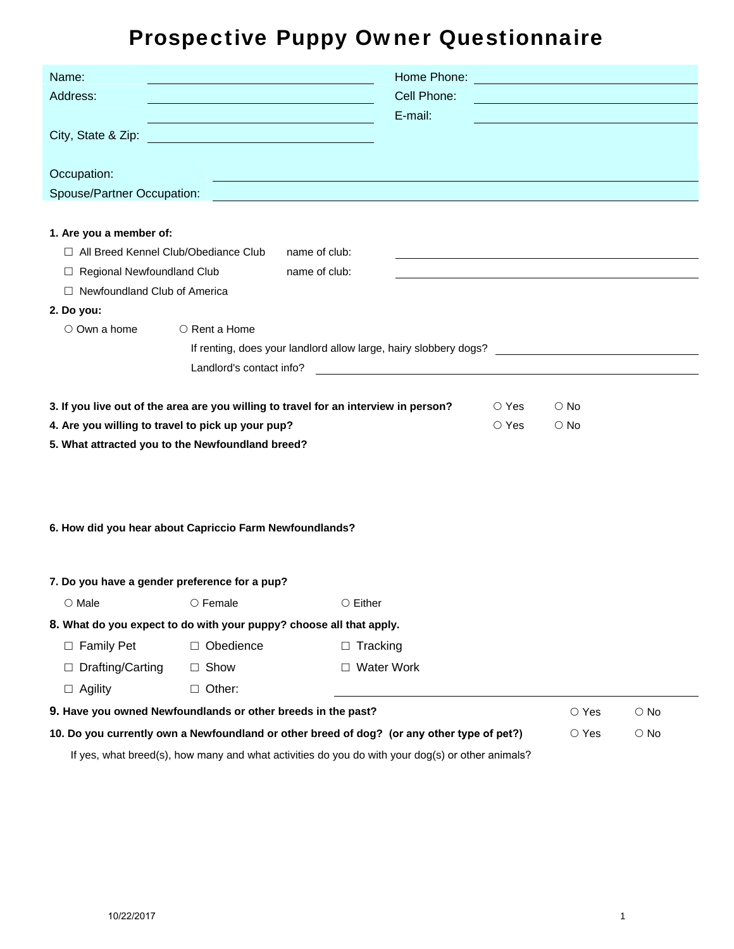# Prospective Puppy Owner Questionnaire

| Name:                                                                                                   |                                                                                                                      |                                                                                                                  | Home Phone:                                                                                                                                                                                                                   |             | <u> 1989 - Johann Barn, mars eta biztanleria (h. 1989).</u> |  |
|---------------------------------------------------------------------------------------------------------|----------------------------------------------------------------------------------------------------------------------|------------------------------------------------------------------------------------------------------------------|-------------------------------------------------------------------------------------------------------------------------------------------------------------------------------------------------------------------------------|-------------|-------------------------------------------------------------|--|
| Address:                                                                                                |                                                                                                                      |                                                                                                                  | Cell Phone:<br><u> 1989 - Johann Barbara, martxa alemaniar a</u>                                                                                                                                                              |             |                                                             |  |
|                                                                                                         | <u> 1980 - Johann Stein, marwolaethau (b. 1980)</u>                                                                  | E-mail:                                                                                                          |                                                                                                                                                                                                                               |             |                                                             |  |
| City, State & Zip:                                                                                      | <u> 1989 - Johann Barn, mars eta bat erroman erroman erroman erroman erroman erroman erroman erroman erroman err</u> |                                                                                                                  |                                                                                                                                                                                                                               |             |                                                             |  |
|                                                                                                         |                                                                                                                      |                                                                                                                  |                                                                                                                                                                                                                               |             |                                                             |  |
| Occupation:                                                                                             |                                                                                                                      |                                                                                                                  |                                                                                                                                                                                                                               |             |                                                             |  |
| Spouse/Partner Occupation:                                                                              |                                                                                                                      | and the control of the control of the control of the control of the control of the control of the control of the |                                                                                                                                                                                                                               |             |                                                             |  |
| 1. Are you a member of:                                                                                 |                                                                                                                      |                                                                                                                  |                                                                                                                                                                                                                               |             |                                                             |  |
| □ All Breed Kennel Club/Obediance Club                                                                  |                                                                                                                      | name of club:                                                                                                    | the control of the control of the control of the control of the control of the control of the control of the control of the control of the control of the control of the control of the control of the control of the control |             |                                                             |  |
| □ Regional Newfoundland Club<br>name of club:                                                           |                                                                                                                      |                                                                                                                  | <u> 1980 - Johann Barbara, martin amerikan basal dan berasal dalam basal dalam basal dalam basal dalam basal dala</u>                                                                                                         |             |                                                             |  |
| □ Newfoundland Club of America                                                                          |                                                                                                                      |                                                                                                                  |                                                                                                                                                                                                                               |             |                                                             |  |
| 2. Do you:                                                                                              |                                                                                                                      |                                                                                                                  |                                                                                                                                                                                                                               |             |                                                             |  |
| $\circ$ Own a home<br>○ Rent a Home<br>If renting, does your landlord allow large, hairy slobbery dogs? |                                                                                                                      |                                                                                                                  |                                                                                                                                                                                                                               |             |                                                             |  |
|                                                                                                         |                                                                                                                      |                                                                                                                  |                                                                                                                                                                                                                               |             |                                                             |  |
|                                                                                                         | Landlord's contact info?                                                                                             |                                                                                                                  | <u> 1989 - Johann Barbara, martin amerikan basal dan berasal dan berasal dalam basal dan berasal dan berasal dan</u>                                                                                                          |             |                                                             |  |
|                                                                                                         |                                                                                                                      | 3. If you live out of the area are you willing to travel for an interview in person?                             | $\circ$ Yes                                                                                                                                                                                                                   | $\circ$ No  |                                                             |  |
| 4. Are you willing to travel to pick up your pup?                                                       |                                                                                                                      |                                                                                                                  | $\circ$ Yes                                                                                                                                                                                                                   | $\circ$ No  |                                                             |  |
| 5. What attracted you to the Newfoundland breed?                                                        |                                                                                                                      |                                                                                                                  |                                                                                                                                                                                                                               |             |                                                             |  |
|                                                                                                         |                                                                                                                      |                                                                                                                  |                                                                                                                                                                                                                               |             |                                                             |  |
|                                                                                                         |                                                                                                                      |                                                                                                                  |                                                                                                                                                                                                                               |             |                                                             |  |
|                                                                                                         |                                                                                                                      |                                                                                                                  |                                                                                                                                                                                                                               |             |                                                             |  |
| 6. How did you hear about Capriccio Farm Newfoundlands?                                                 |                                                                                                                      |                                                                                                                  |                                                                                                                                                                                                                               |             |                                                             |  |
|                                                                                                         |                                                                                                                      |                                                                                                                  |                                                                                                                                                                                                                               |             |                                                             |  |
|                                                                                                         |                                                                                                                      |                                                                                                                  |                                                                                                                                                                                                                               |             |                                                             |  |
| 7. Do you have a gender preference for a pup?                                                           |                                                                                                                      |                                                                                                                  |                                                                                                                                                                                                                               |             |                                                             |  |
| O Male O Female                                                                                         |                                                                                                                      | $\circ$ Either                                                                                                   |                                                                                                                                                                                                                               |             |                                                             |  |
| 8. What do you expect to do with your puppy? choose all that apply.                                     |                                                                                                                      |                                                                                                                  |                                                                                                                                                                                                                               |             |                                                             |  |
| $\Box$ Family Pet                                                                                       | □ Obedience                                                                                                          | $\Box$ Tracking                                                                                                  |                                                                                                                                                                                                                               |             |                                                             |  |
| Drafting/Carting                                                                                        | $\Box$ Show                                                                                                          | $\Box$ Water Work                                                                                                |                                                                                                                                                                                                                               |             |                                                             |  |
| $\Box$ Agility                                                                                          | $\Box$ Other:                                                                                                        |                                                                                                                  |                                                                                                                                                                                                                               |             |                                                             |  |
| 9. Have you owned Newfoundlands or other breeds in the past?                                            |                                                                                                                      |                                                                                                                  |                                                                                                                                                                                                                               | $\circ$ Yes | $\circ$ No                                                  |  |
| 10. Do you currently own a Newfoundland or other breed of dog? (or any other type of pet?)              |                                                                                                                      |                                                                                                                  |                                                                                                                                                                                                                               | $\circ$ Yes | $\bigcirc$ No                                               |  |
| If yes, what breed(s), how many and what activities do you do with your dog(s) or other animals?        |                                                                                                                      |                                                                                                                  |                                                                                                                                                                                                                               |             |                                                             |  |